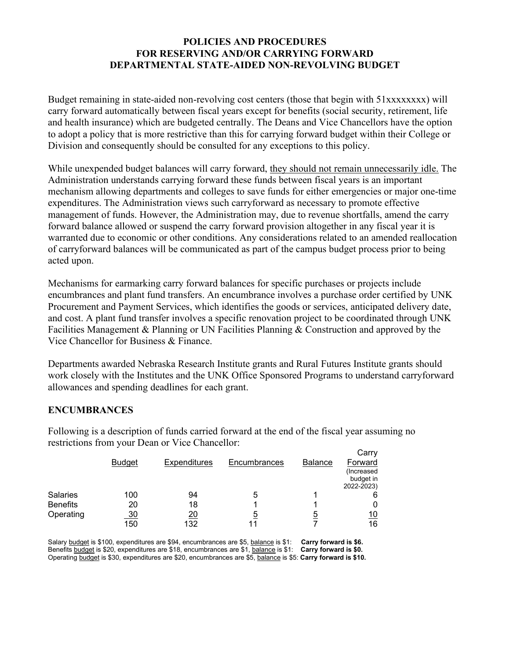## **POLICIES AND PROCEDURES FOR RESERVING AND/OR CARRYING FORWARD DEPARTMENTAL STATE-AIDED NON-REVOLVING BUDGET**

Budget remaining in state-aided non-revolving cost centers (those that begin with 51xxxxxxxx) will carry forward automatically between fiscal years except for benefits (social security, retirement, life and health insurance) which are budgeted centrally. The Deans and Vice Chancellors have the option to adopt a policy that is more restrictive than this for carrying forward budget within their College or Division and consequently should be consulted for any exceptions to this policy.

While unexpended budget balances will carry forward, they should not remain unnecessarily idle. The Administration understands carrying forward these funds between fiscal years is an important mechanism allowing departments and colleges to save funds for either emergencies or major one-time expenditures. The Administration views such carryforward as necessary to promote effective management of funds. However, the Administration may, due to revenue shortfalls, amend the carry forward balance allowed or suspend the carry forward provision altogether in any fiscal year it is warranted due to economic or other conditions. Any considerations related to an amended reallocation of carryforward balances will be communicated as part of the campus budget process prior to being acted upon.

Mechanisms for earmarking carry forward balances for specific purchases or projects include encumbrances and plant fund transfers. An encumbrance involves a purchase order certified by UNK Procurement and Payment Services, which identifies the goods or services, anticipated delivery date, and cost. A plant fund transfer involves a specific renovation project to be coordinated through UNK Facilities Management & Planning or UN Facilities Planning & Construction and approved by the Vice Chancellor for Business & Finance.

Departments awarded Nebraska Research Institute grants and Rural Futures Institute grants should work closely with the Institutes and the UNK Office Sponsored Programs to understand carryforward allowances and spending deadlines for each grant.

## **ENCUMBRANCES**

Following is a description of funds carried forward at the end of the fiscal year assuming no restrictions from your Dean or Vice Chancellor:

|                 |               |                     |              |                | Carry      |
|-----------------|---------------|---------------------|--------------|----------------|------------|
|                 | <b>Budget</b> | <b>Expenditures</b> | Encumbrances | <b>Balance</b> | Forward    |
|                 |               |                     |              |                | (Increased |
|                 |               |                     |              |                | budget in  |
|                 |               |                     |              |                | 2022-2023) |
| <b>Salaries</b> | 100           | 94                  | 5            |                | 6          |
| <b>Benefits</b> | 20            | 18                  |              |                |            |
| Operating       | <u>30</u>     | $\frac{20}{2}$      | 5            | 5              | 10         |
|                 | 150           | 132                 |              |                | 16         |

Salary budget is \$100, expenditures are \$94, encumbrances are \$5, balance is \$1: **Carry forward is \$6.** Benefits budget is \$20, expenditures are \$18, encumbrances are \$1, balance is \$1: **Carry forward is \$0.** Operating budget is \$30, expenditures are \$20, encumbrances are \$5, balance is \$5: **Carry forward is \$10.**